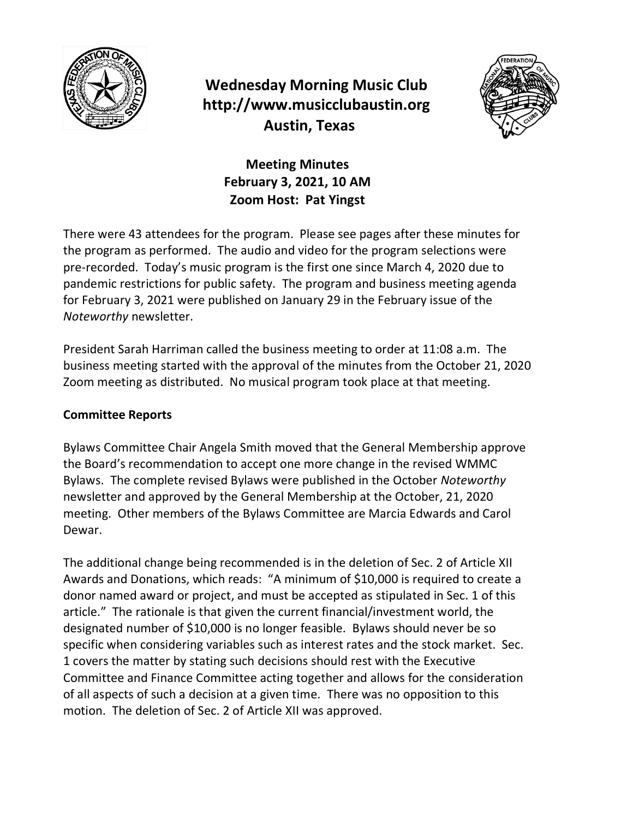

## **Wednesday Morning Music Club http://www.musicclubaustin.org Austin, Texas**



**Meeting Minutes February 3, 2021, 10 AM Zoom Host: Pat Yingst**

There were 43 attendees for the program. Please see pages after these minutes for the program as performed. The audio and video for the program selections were pre-recorded. Today's music program is the first one since March 4, 2020 due to pandemic restrictions for public safety. The program and business meeting agenda for February 3, 2021 were published on January 29 in the February issue of the *Noteworthy* newsletter.

President Sarah Harriman called the business meeting to order at 11:08 a.m. The business meeting started with the approval of the minutes from the October 21, 2020 Zoom meeting as distributed. No musical program took place at that meeting.

## **Committee Reports**

Bylaws Committee Chair Angela Smith moved that the General Membership approve the Board's recommendation to accept one more change in the revised WMMC Bylaws. The complete revised Bylaws were published in the October *Noteworthy* newsletter and approved by the General Membership at the October, 21, 2020 meeting. Other members of the Bylaws Committee are Marcia Edwards and Carol Dewar.

The additional change being recommended is in the deletion of Sec. 2 of Article XII Awards and Donations, which reads: "A minimum of \$10,000 is required to create a donor named award or project, and must be accepted as stipulated in Sec. 1 of this article." The rationale is that given the current financial/investment world, the designated number of \$10,000 is no longer feasible. Bylaws should never be so specific when considering variables such as interest rates and the stock market. Sec. 1 covers the matter by stating such decisions should rest with the Executive Committee and Finance Committee acting together and allows for the consideration of all aspects of such a decision at a given time. There was no opposition to this motion. The deletion of Sec. 2 of Article XII was approved.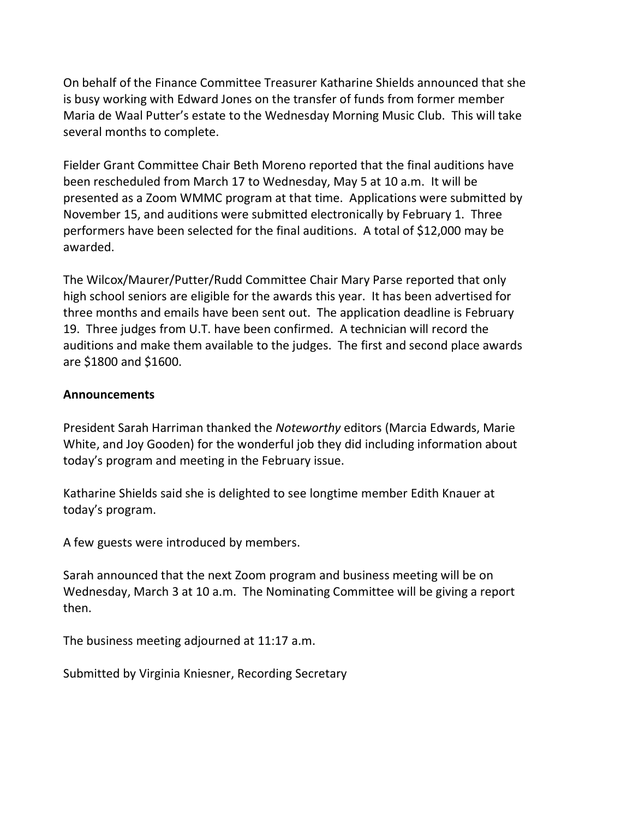On behalf of the Finance Committee Treasurer Katharine Shields announced that she is busy working with Edward Jones on the transfer of funds from former member Maria de Waal Putter's estate to the Wednesday Morning Music Club. This will take several months to complete.

Fielder Grant Committee Chair Beth Moreno reported that the final auditions have been rescheduled from March 17 to Wednesday, May 5 at 10 a.m. It will be presented as a Zoom WMMC program at that time. Applications were submitted by November 15, and auditions were submitted electronically by February 1. Three performers have been selected for the final auditions. A total of \$12,000 may be awarded.

The Wilcox/Maurer/Putter/Rudd Committee Chair Mary Parse reported that only high school seniors are eligible for the awards this year. It has been advertised for three months and emails have been sent out. The application deadline is February 19. Three judges from U.T. have been confirmed. A technician will record the auditions and make them available to the judges. The first and second place awards are \$1800 and \$1600.

## **Announcements**

President Sarah Harriman thanked the *Noteworthy* editors (Marcia Edwards, Marie White, and Joy Gooden) for the wonderful job they did including information about today's program and meeting in the February issue.

Katharine Shields said she is delighted to see longtime member Edith Knauer at today's program.

A few guests were introduced by members.

Sarah announced that the next Zoom program and business meeting will be on Wednesday, March 3 at 10 a.m. The Nominating Committee will be giving a report then.

The business meeting adjourned at 11:17 a.m.

Submitted by Virginia Kniesner, Recording Secretary